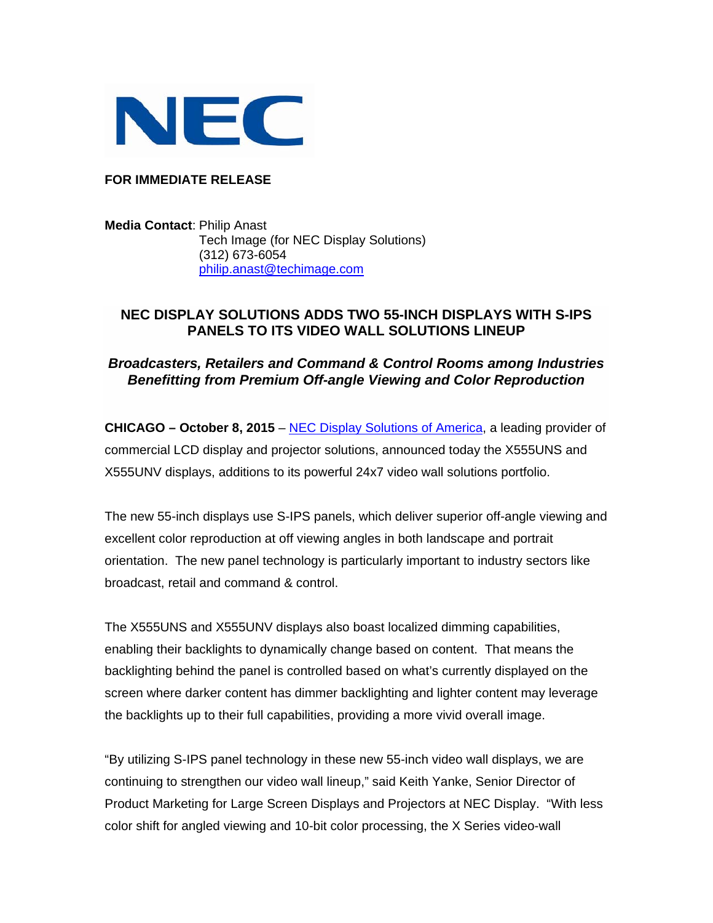

**FOR IMMEDIATE RELEASE** 

**Media Contact**: Philip Anast Tech Image (for NEC Display Solutions) (312) 673-6054 philip.anast@techimage.com

## **NEC DISPLAY SOLUTIONS ADDS TWO 55-INCH DISPLAYS WITH S-IPS PANELS TO ITS VIDEO WALL SOLUTIONS LINEUP**

## *Broadcasters, Retailers and Command & Control Rooms among Industries Benefitting from Premium Off-angle Viewing and Color Reproduction*

**CHICAGO – October 8, 2015 [– NEC Display Solutions of America,](http://www.necdisplay.com) a leading provider of** commercial LCD display and projector solutions, announced today the X555UNS and X555UNV displays, additions to its powerful 24x7 video wall solutions portfolio.

The new 55-inch displays use S-IPS panels, which deliver superior off-angle viewing and excellent color reproduction at off viewing angles in both landscape and portrait orientation. The new panel technology is particularly important to industry sectors like broadcast, retail and command & control.

The X555UNS and X555UNV displays also boast localized dimming capabilities, enabling their backlights to dynamically change based on content. That means the backlighting behind the panel is controlled based on what's currently displayed on the screen where darker content has dimmer backlighting and lighter content may leverage the backlights up to their full capabilities, providing a more vivid overall image.

"By utilizing S-IPS panel technology in these new 55-inch video wall displays, we are continuing to strengthen our video wall lineup," said Keith Yanke, Senior Director of Product Marketing for Large Screen Displays and Projectors at NEC Display. "With less color shift for angled viewing and 10-bit color processing, the X Series video-wall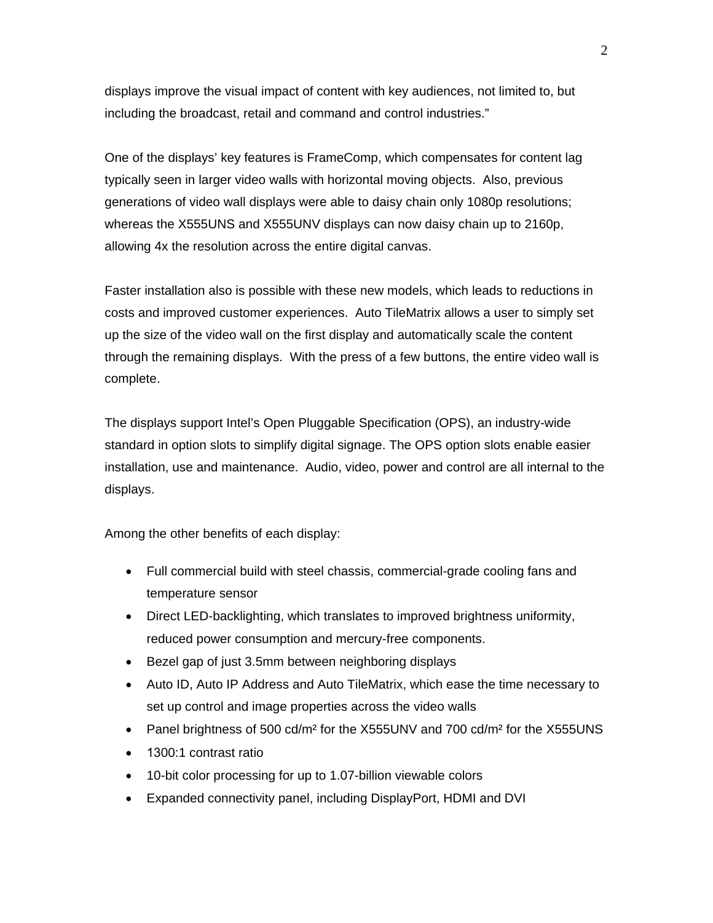displays improve the visual impact of content with key audiences, not limited to, but including the broadcast, retail and command and control industries."

One of the displays' key features is FrameComp, which compensates for content lag typically seen in larger video walls with horizontal moving objects. Also, previous generations of video wall displays were able to daisy chain only 1080p resolutions; whereas the X555UNS and X555UNV displays can now daisy chain up to 2160p, allowing 4x the resolution across the entire digital canvas.

Faster installation also is possible with these new models, which leads to reductions in costs and improved customer experiences. Auto TileMatrix allows a user to simply set up the size of the video wall on the first display and automatically scale the content through the remaining displays. With the press of a few buttons, the entire video wall is complete.

The displays support Intel's Open Pluggable Specification (OPS), an industry-wide standard in option slots to simplify digital signage. The OPS option slots enable easier installation, use and maintenance. Audio, video, power and control are all internal to the displays.

Among the other benefits of each display:

- Full commercial build with steel chassis, commercial-grade cooling fans and temperature sensor
- Direct LED-backlighting, which translates to improved brightness uniformity, reduced power consumption and mercury-free components.
- Bezel gap of just 3.5mm between neighboring displays
- Auto ID, Auto IP Address and Auto TileMatrix, which ease the time necessary to set up control and image properties across the video walls
- Panel brightness of 500 cd/m<sup>2</sup> for the X555UNV and 700 cd/m<sup>2</sup> for the X555UNS
- 1300:1 contrast ratio
- 10-bit color processing for up to 1.07-billion viewable colors
- Expanded connectivity panel, including DisplayPort, HDMI and DVI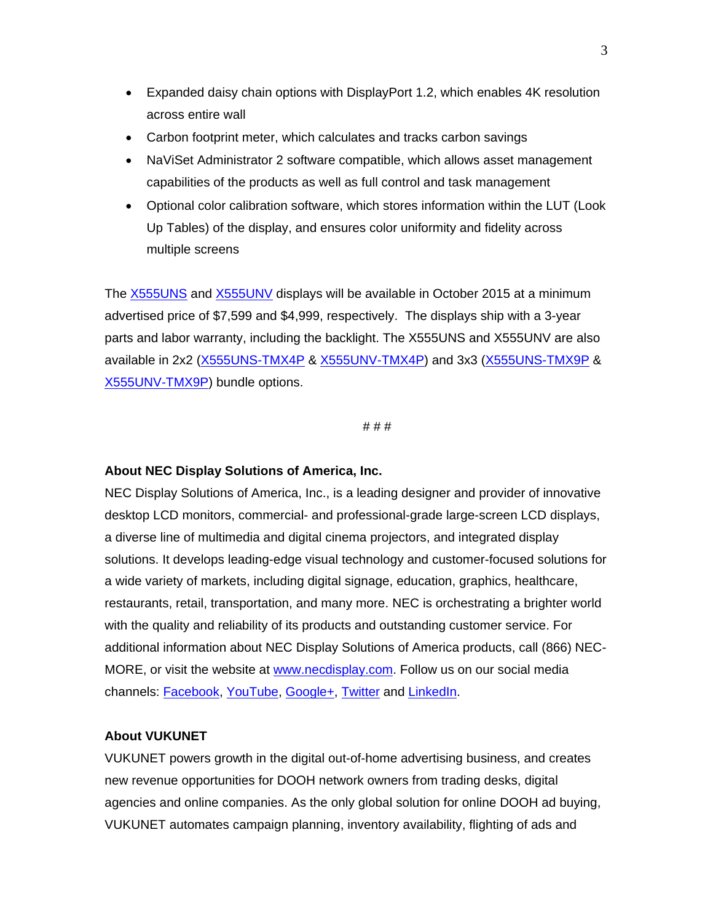- Expanded daisy chain options with DisplayPort 1.2, which enables 4K resolution across entire wall
- Carbon footprint meter, which calculates and tracks carbon savings
- NaViSet Administrator 2 software compatible, which allows asset management capabilities of the products as well as full control and task management
- Optional color calibration software, which stores information within the LUT (Look Up Tables) of the display, and ensures color uniformity and fidelity across multiple screens

The [X555UNS](http://www.necdisplay.com/p/x555uns) and [X555UNV](http://www.necdisplay.com/p/x555unv) displays will be available in October 2015 at a minimum advertised price of \$7,599 and \$4,999, respectively. The displays ship with a 3-year parts and labor warranty, including the backlight. The X555UNS and X555UNV are also available in 2x2 [\(X555UNS-TMX4P](http://www.necdisplay.com/p/x555uns-tmx4p) & [X555UNV-TMX4P\)](http://www.necdisplay.com/p/x555unv-tmx4p) and 3x3 [\(X555UNS-TMX9P](http://www.necdisplay.com/p/x555uns-tmx9p) & [X555UNV-TMX9P\)](http://www.necdisplay.com/p/x555unv-tmx9p) bundle options.

# # #

## **About NEC Display Solutions of America, Inc.**

NEC Display Solutions of America, Inc., is a leading designer and provider of innovative desktop LCD monitors, commercial- and professional-grade large-screen LCD displays, a diverse line of multimedia and digital cinema projectors, and integrated display solutions. It develops leading-edge visual technology and customer-focused solutions for a wide variety of markets, including digital signage, education, graphics, healthcare, restaurants, retail, transportation, and many more. NEC is orchestrating a brighter world with the quality and reliability of its products and outstanding customer service. For additional information about NEC Display Solutions of America products, call (866) NEC-MORE, or visit the website at www.necdisplay.com. Follow us on our social media channels: [Facebook,](http://www.facebook.com/necdisplay) [YouTube,](http://www.youtube.com/necdisplay) [Google+,](https://plus.google.com/+necdisplay) [Twitter](http://www.twitter.com/nec_display) and [LinkedIn.](https://www.linkedin.com/company/nec-display-solutions)

## **About VUKUNET**

VUKUNET powers growth in the digital out-of-home advertising business, and creates new revenue opportunities for DOOH network owners from trading desks, digital agencies and online companies. As the only global solution for online DOOH ad buying, VUKUNET automates campaign planning, inventory availability, flighting of ads and